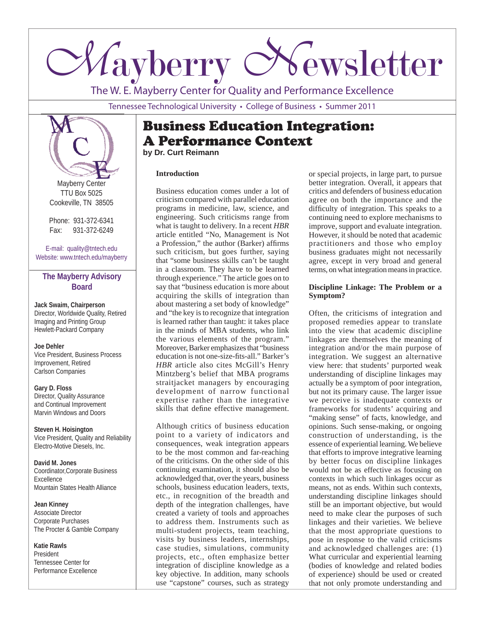

The W. E. Mayberry Center for Quality and Performance Excellence

Tennessee Technological University • College of Business • Summer 2011



Mayberry Center TTU Box 5025 Cookeville, TN 38505

Phone: 931-372-6341 Fax: 931-372-6249

E-mail: quality@tntech.edu Website: www.tntech.edu/mayberry

### **The Mayberry Advisory Board**

**Jack Swaim, Chairperson** Director, Worldwide Quality, Retired Imaging and Printing Group Hewlett-Packard Company

**Joe Dehler** Vice President, Business Process Improvement, Retired Carlson Companies

**Gary D. Floss** Director, Quality Assurance and Continual Improvement Marvin Windows and Doors

**Steven H. Hoisington** Vice President, Quality and Reliability Electro-Motive Diesels, Inc.

**David M. Jones** Coordinator,Corporate Business Excellence Mountain States Health Alliance

**Jean Kinney** Associate Director Corporate Purchases The Procter & Gamble Company

**Katie Rawls** President Tennessee Center for Performance Excellence

## Business Education Integration: A Performance Context **by Dr. Curt Reimann**

#### **Introduction**

Business education comes under a lot of criticism compared with parallel education programs in medicine, law, science, and engineering. Such criticisms range from what is taught to delivery. In a recent *HBR*  article entitled "No, Management is Not a Profession," the author (Barker) affirms such criticism, but goes further, saying that "some business skills can't be taught in a classroom. They have to be learned through experience." The article goes on to say that "business education is more about acquiring the skills of integration than about mastering a set body of knowledge" and "the key is to recognize that integration is learned rather than taught: it takes place in the minds of MBA students, who link the various elements of the program." Moreover, Barker emphasizes that "business education is not one-size-fits-all." Barker's *HBR* article also cites McGill's Henry Mintzberg's belief that MBA programs straitjacket managers by encouraging development of narrow functional expertise rather than the integrative skills that define effective management.

Although critics of business education point to a variety of indicators and consequences, weak integration appears to be the most common and far-reaching of the criticisms. On the other side of this continuing examination, it should also be acknowledged that, over the years, business schools, business education leaders, texts, etc., in recognition of the breadth and depth of the integration challenges, have created a variety of tools and approaches to address them. Instruments such as multi-student projects, team teaching, visits by business leaders, internships, case studies, simulations, community projects, etc., often emphasize better integration of discipline knowledge as a key objective. In addition, many schools use "capstone" courses, such as strategy

or special projects, in large part, to pursue better integration. Overall, it appears that critics and defenders of business education agree on both the importance and the difficulty of integration. This speaks to a continuing need to explore mechanisms to improve, support and evaluate integration. However, it should be noted that academic practitioners and those who employ business graduates might not necessarily agree, except in very broad and general terms, on what integration means in practice.

#### **Discipline Linkage: The Problem or a Symptom?**

Often, the criticisms of integration and proposed remedies appear to translate into the view that academic discipline linkages are themselves the meaning of integration and/or the main purpose of integration. We suggest an alternative view here: that students' purported weak understanding of discipline linkages may actually be a symptom of poor integration, but not its primary cause. The larger issue we perceive is inadequate contexts or frameworks for students' acquiring and "making sense" of facts, knowledge, and opinions. Such sense-making, or ongoing construction of understanding, is the essence of experiential learning. We believe that efforts to improve integrative learning by better focus on discipline linkages would not be as effective as focusing on contexts in which such linkages occur as means, not as ends. Within such contexts, understanding discipline linkages should still be an important objective, but would need to make clear the purposes of such linkages and their varieties. We believe that the most appropriate questions to pose in response to the valid criticisms and acknowledged challenges are: (1) What curricular and experiential learning (bodies of knowledge and related bodies of experience) should be used or created that not only promote understanding and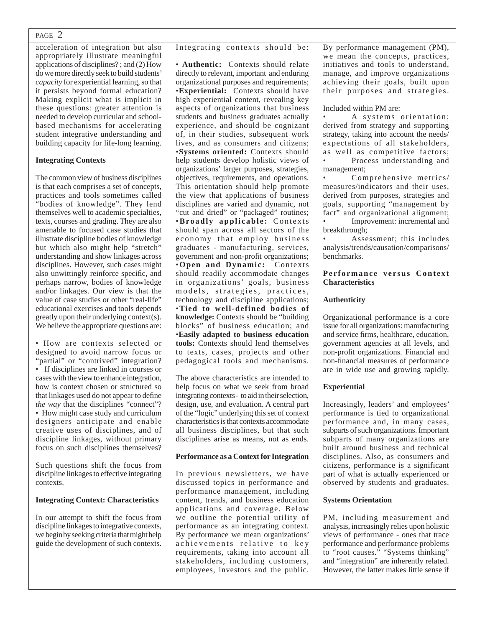#### PAGE 2

acceleration of integration but also appropriately illustrate meaningful applications of disciplines? ; and (2) How do we more directly seek to build students' *capacity* for experiential learning, so that it persists beyond formal education? Making explicit what is implicit in these questions: greater attention is needed to develop curricular and schoolbased mechanisms for accelerating student integrative understanding and building capacity for life-long learning.

#### **Integrating Contexts**

The common view of business disciplines is that each comprises a set of concepts, practices and tools sometimes called "bodies of knowledge". They lend themselves well to academic specialties, texts, courses and grading. They are also amenable to focused case studies that illustrate discipline bodies of knowledge but which also might help "stretch" understanding and show linkages across disciplines. However, such cases might also unwittingly reinforce specific, and perhaps narrow, bodies of knowledge and/or linkages. Our view is that the value of case studies or other "real-life" educational exercises and tools depends greatly upon their underlying context(s). We believe the appropriate questions are:

• How are contexts selected or designed to avoid narrow focus or "partial" or "contrived" integration? • If disciplines are linked in courses or cases with the view to enhance integration, how is context chosen or structured so that linkages used do not appear to define *the way* that the disciplines "connect"? • How might case study and curriculum designers anticipate and enable creative uses of disciplines, and of discipline linkages, without primary focus on such disciplines themselves?

Such questions shift the focus from discipline linkages to effective integrating contexts.

#### **Integrating Context: Characteristics**

In our attempt to shift the focus from discipline linkages to integrative contexts, we begin by seeking criteria that might help guide the development of such contexts. Integrating contexts should be:

• **Authentic:** Contexts should relate directly to relevant, important and enduring organizational purposes and requirements; •**Experiential:** Contexts should have high experiential content, revealing key aspects of organizations that business students and business graduates actually experience, and should be cognizant of, in their studies, subsequent work lives, and as consumers and citizens; •**Systems oriented:** Contexts should help students develop holistic views of organizations' larger purposes, strategies, objectives, requirements, and operations. This orientation should help promote the view that applications of business disciplines are varied and dynamic, not "cut and dried" or "packaged" routines; **•Broadly applicable:** Contexts should span across all sectors of the economy that employ business graduates - manufacturing, services, government and non-profit organizations; •**Open and Dynamic:** Contexts should readily accommodate changes in organizations' goals, business models, strategies, practices, technology and discipline applications; •**Tied to well-defined bodies of knowledge:** Contexts should be "building blocks" of business education; and •**Easily adapted to business education tools:** Contexts should lend themselves to texts, cases, projects and other pedagogical tools and mechanisms.

The above characteristics are intended to help focus on what we seek from broad integrating contexts - to aid in their selection, design, use, and evaluation. A central part of the "logic" underlying this set of context characteristics is that contexts accommodate all business disciplines, but that such disciplines arise as means, not as ends.

#### **Performance as a Context for Integration**

In previous newsletters, we have discussed topics in performance and performance management, including content, trends, and business education applications and coverage. Below we outline the potential utility of performance as an integrating context. By performance we mean organizations' achievements relative to key requirements, taking into account all stakeholders, including customers, employees, investors and the public.

By performance management (PM), we mean the concepts, practices, initiatives and tools to understand, manage, and improve organizations achieving their goals, built upon their purposes and strategies.

#### Included within PM are:

A systems orientation; derived from strategy and supporting strategy, taking into account the needs/ expectations of all stakeholders, as well as competitive factors; • Process understanding and management;

Comprehensive metrics/ measures/indicators and their uses, derived from purposes, strategies and goals, supporting "management by fact" and organizational alignment; Improvement: incremental and breakthrough;

Assessment; this includes analysis/trends/causation/comparisons/ benchmarks.

#### Performance versus Context **Characteristics**

#### **Authenticity**

Organizational performance is a core issue for all organizations: manufacturing and service firms, healthcare, education, government agencies at all levels, and non-profit organizations. Financial and non-financial measures of performance are in wide use and growing rapidly.

#### **Experiential**

Increasingly, leaders' and employees' performance is tied to organizational performance and, in many cases, subparts of such organizations. Important subparts of many organizations are built around business and technical disciplines. Also, as consumers and citizens, performance is a significant part of what is actually experienced or observed by students and graduates.

#### **Systems Orientation**

PM, including measurement and analysis, increasingly relies upon holistic views of performance - ones that trace performance and performance problems to "root causes." "Systems thinking" and "integration" are inherently related. However, the latter makes little sense if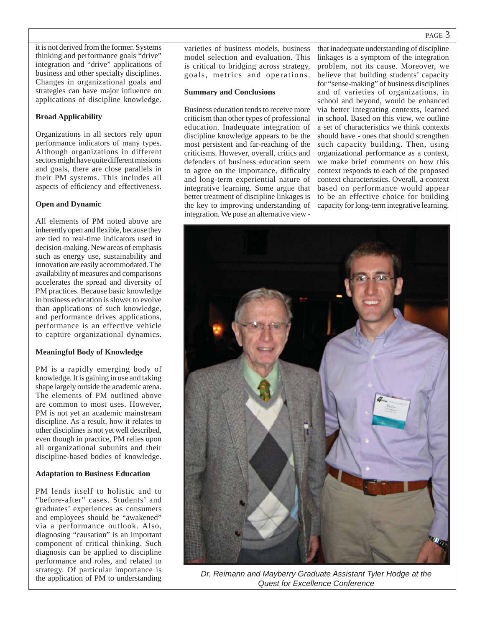it is not derived from the former. Systems thinking and performance goals "drive" integration and "drive" applications of business and other specialty disciplines. Changes in organizational goals and strategies can have major influence on applications of discipline knowledge.

#### **Broad Applicability**

Organizations in all sectors rely upon performance indicators of many types. Although organizations in different sectors might have quite different missions and goals, there are close parallels in their PM systems. This includes all aspects of efficiency and effectiveness.

#### **Open and Dynamic**

All elements of PM noted above are inherently open and flexible, because they are tied to real-time indicators used in decision-making. New areas of emphasis such as energy use, sustainability and innovation are easily accommodated. The availability of measures and comparisons accelerates the spread and diversity of PM practices. Because basic knowledge in business education is slower to evolve than applications of such knowledge, and performance drives applications, performance is an effective vehicle to capture organizational dynamics.

#### **Meaningful Body of Knowledge**

PM is a rapidly emerging body of knowledge. It is gaining in use and taking shape largely outside the academic arena. The elements of PM outlined above are common to most uses. However, PM is not yet an academic mainstream discipline. As a result, how it relates to other disciplines is not yet well described, even though in practice, PM relies upon all organizational subunits and their discipline-based bodies of knowledge.

#### **Adaptation to Business Education**

PM lends itself to holistic and to "before-after" cases. Students' and graduates' experiences as consumers and employees should be "awakened" via a performance outlook. Also, diagnosing "causation" is an important component of critical thinking. Such diagnosis can be applied to discipline performance and roles, and related to strategy. Of particular importance is the application of PM to understanding

varieties of business models, business model selection and evaluation. This is critical to bridging across strategy, goals, metrics and operations.

#### **Summary and Conclusions**

Business education tends to receive more criticism than other types of professional education. Inadequate integration of discipline knowledge appears to be the most persistent and far-reaching of the criticisms. However, overall, critics and defenders of business education seem to agree on the importance, difficulty and long-term experiential nature of integrative learning. Some argue that better treatment of discipline linkages is the key to improving understanding of integration. We pose an alternative view -

that inadequate understanding of discipline linkages is a symptom of the integration problem, not its cause. Moreover, we believe that building students' capacity for "sense-making" of business disciplines and of varieties of organizations, in school and beyond, would be enhanced via better integrating contexts, learned in school. Based on this view, we outline a set of characteristics we think contexts should have - ones that should strengthen such capacity building. Then, using organizational performance as a context, we make brief comments on how this context responds to each of the proposed context characteristics. Overall, a context based on performance would appear to be an effective choice for building capacity for long-term integrative learning.



*Dr. Reimann and Mayberry Graduate Assistant Tyler Hodge at the Quest for Excellence Conference*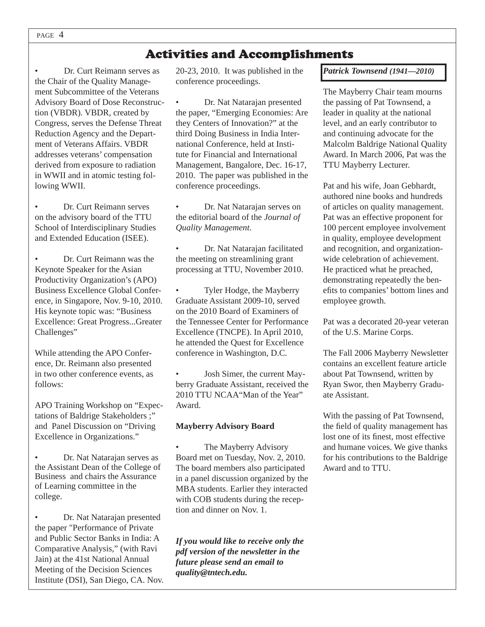# Activities and Accomplishments

• Dr. Curt Reimann serves as the Chair of the Quality Management Subcommittee of the Veterans Advisory Board of Dose Reconstruction (VBDR). VBDR, created by Congress, serves the Defense Threat Reduction Agency and the Department of Veterans Affairs. VBDR addresses veterans' compensation derived from exposure to radiation in WWII and in atomic testing following WWII.

• Dr. Curt Reimann serves on the advisory board of the TTU School of Interdisciplinary Studies and Extended Education (ISEE).

*•* Dr. Curt Reimann was the Keynote Speaker for the Asian Productivity Organization's (APO) Business Excellence Global Conference, in Singapore, Nov. 9-10, 2010. His keynote topic was: "Business Excellence: Great Progress...Greater Challenges"

While attending the APO Conference, Dr. Reimann also presented in two other conference events, as follows:

APO Training Workshop on "Expectations of Baldrige Stakeholders ;" and Panel Discussion on "Driving Excellence in Organizations."

• Dr. Nat Natarajan serves as the Assistant Dean of the College of Business and chairs the Assurance of Learning committee in the college.

• Dr. Nat Natarajan presented the paper "Performance of Private and Public Sector Banks in India: A Comparative Analysis," (with Ravi Jain) at the 41st National Annual Meeting of the Decision Sciences Institute (DSI), San Diego, CA. Nov. 20-23, 2010. It was published in the conference proceedings.

• Dr. Nat Natarajan presented the paper, "Emerging Economies: Are they Centers of Innovation?" at the third Doing Business in India International Conference, held at Institute for Financial and International Management, Bangalore, Dec. 16-17, 2010. The paper was published in the conference proceedings.

• Dr. Nat Natarajan serves on the editorial board of the *Journal of Quality Management*.

• Dr. Nat Natarajan facilitated the meeting on streamlining grant processing at TTU, November 2010.

• Tyler Hodge, the Mayberry Graduate Assistant 2009-10, served on the 2010 Board of Examiners of the Tennessee Center for Performance Excellence (TNCPE). In April 2010, he attended the Quest for Excellence conference in Washington, D.C.

• Josh Simer, the current Mayberry Graduate Assistant, received the 2010 TTU NCAA"Man of the Year" Award.

#### **Mayberry Advisory Board**

The Mayberry Advisory Board met on Tuesday, Nov. 2, 2010. The board members also participated in a panel discussion organized by the MBA students. Earlier they interacted with COB students during the reception and dinner on Nov. 1.

*If you would like to receive only the pdf version of the newsletter in the future please send an email to quality@tntech.edu.*

*Patrick Townsend (1941—2010)*

The Mayberry Chair team mourns the passing of Pat Townsend, a leader in quality at the national level, and an early contributor to and continuing advocate for the Malcolm Baldrige National Quality Award. In March 2006, Pat was the TTU Mayberry Lecturer.

Pat and his wife, Joan Gebhardt, authored nine books and hundreds of articles on quality management. Pat was an effective proponent for 100 percent employee involvement in quality, employee development and recognition, and organizationwide celebration of achievement. He practiced what he preached, demonstrating repeatedly the benefits to companies' bottom lines and employee growth.

Pat was a decorated 20-year veteran of the U.S. Marine Corps.

The Fall 2006 Mayberry Newsletter contains an excellent feature article about Pat Townsend, written by Ryan Swor, then Mayberry Graduate Assistant.

With the passing of Pat Townsend, the field of quality management has lost one of its finest, most effective and humane voices. We give thanks for his contributions to the Baldrige Award and to TTU.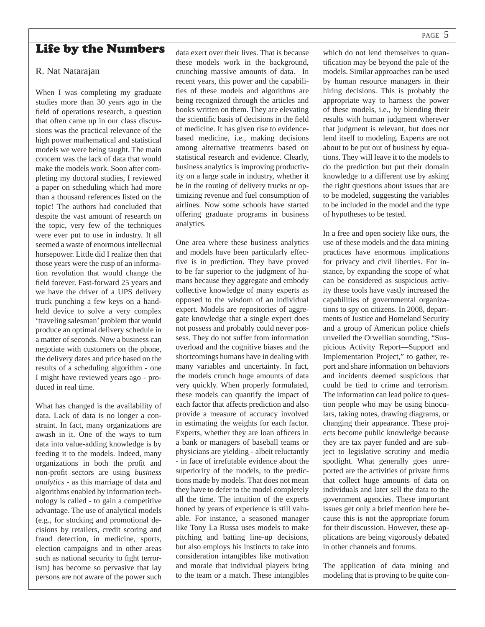## PAGE 5

## Life by the Numbers

#### R. Nat Natarajan

When I was completing my graduate studies more than 30 years ago in the field of operations research, a question that often came up in our class discussions was the practical relevance of the high power mathematical and statistical models we were being taught. The main concern was the lack of data that would make the models work. Soon after completing my doctoral studies, I reviewed a paper on scheduling which had more than a thousand references listed on the topic! The authors had concluded that despite the vast amount of research on the topic, very few of the techniques were ever put to use in industry. It all seemed a waste of enormous intellectual horsepower. Little did I realize then that those years were the cusp of an information revolution that would change the field forever. Fast-forward 25 years and we have the driver of a UPS delivery truck punching a few keys on a handheld device to solve a very complex 'traveling salesman' problem that would produce an optimal delivery schedule in a matter of seconds. Now a business can negotiate with customers on the phone, the delivery dates and price based on the results of a scheduling algorithm - one I might have reviewed years ago - produced in real time.

What has changed is the availability of data. Lack of data is no longer a constraint. In fact, many organizations are awash in it. One of the ways to turn data into value-adding knowledge is by feeding it to the models. Indeed, many organizations in both the profit and non-profi t sectors are using *business analytics -* as this marriage of data and algorithms enabled by information technology is called - to gain a competitive advantage. The use of analytical models (e.g., for stocking and promotional decisions by retailers, credit scoring and fraud detection, in medicine, sports, election campaigns and in other areas such as national security to fight terrorism) has become so pervasive that lay persons are not aware of the power such data exert over their lives. That is because these models work in the background, crunching massive amounts of data. In recent years, this power and the capabilities of these models and algorithms are being recognized through the articles and books written on them. They are elevating the scientific basis of decisions in the field of medicine. It has given rise to evidencebased medicine, i.e., making decisions among alternative treatments based on statistical research and evidence. Clearly, business analytics is improving productivity on a large scale in industry, whether it be in the routing of delivery trucks or optimizing revenue and fuel consumption of airlines. Now some schools have started offering graduate programs in business analytics.

One area where these business analytics and models have been particularly effective is in prediction. They have proved to be far superior to the judgment of humans because they aggregate and embody collective knowledge of many experts as opposed to the wisdom of an individual expert. Models are repositories of aggregate knowledge that a single expert does not possess and probably could never possess. They do not suffer from information overload and the cognitive biases and the shortcomings humans have in dealing with many variables and uncertainty. In fact, the models crunch huge amounts of data very quickly. When properly formulated, these models can quantify the impact of each factor that affects prediction and also provide a measure of accuracy involved in estimating the weights for each factor. Experts, whether they are loan officers in a bank or managers of baseball teams or physicians are yielding - albeit reluctantly - in face of irrefutable evidence about the superiority of the models, to the predictions made by models. That does not mean they have to defer to the model completely all the time. The intuition of the experts honed by years of experience is still valuable. For instance, a seasoned manager like Tony La Russa uses models to make pitching and batting line-up decisions, but also employs his instincts to take into consideration intangibles like motivation and morale that individual players bring to the team or a match. These intangibles which do not lend themselves to quantification may be beyond the pale of the models. Similar approaches can be used by human resource managers in their hiring decisions. This is probably the appropriate way to harness the power of these models, i.e., by blending their results with human judgment wherever that judgment is relevant, but does not lend itself to modeling. Experts are not about to be put out of business by equations. They will leave it to the models to do the prediction but put their domain knowledge to a different use by asking the right questions about issues that are to be modeled, suggesting the variables to be included in the model and the type of hypotheses to be tested.

In a free and open society like ours, the use of these models and the data mining practices have enormous implications for privacy and civil liberties. For instance, by expanding the scope of what can be considered as suspicious activity these tools have vastly increased the capabilities of governmental organizations to spy on citizens. In 2008, departments of Justice and Homeland Security and a group of American police chiefs unveiled the Orwellian sounding, "Suspicious Activity Report—Support and Implementation Project," to gather, report and share information on behaviors and incidents deemed suspicious that could be tied to crime and terrorism. The information can lead police to question people who may be using binoculars, taking notes, drawing diagrams, or changing their appearance. These projects become public knowledge because they are tax payer funded and are subject to legislative scrutiny and media spotlight. What generally goes unreported are the activities of private firms that collect huge amounts of data on individuals and later sell the data to the government agencies. These important issues get only a brief mention here because this is not the appropriate forum for their discussion. However, these applications are being vigorously debated in other channels and forums.

The application of data mining and modeling that is proving to be quite con-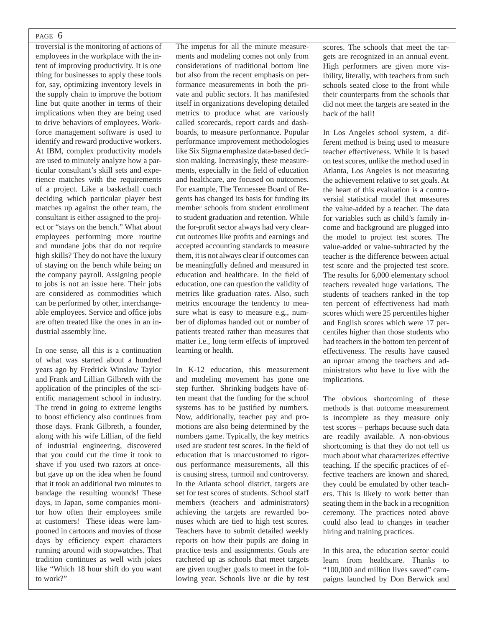#### PAGE 6

troversial is the monitoring of actions of employees in the workplace with the intent of improving productivity. It is one thing for businesses to apply these tools for, say, optimizing inventory levels in the supply chain to improve the bottom line but quite another in terms of their implications when they are being used to drive behaviors of employees. Workforce management software is used to identify and reward productive workers. At IBM, complex productivity models are used to minutely analyze how a particular consultant's skill sets and experience matches with the requirements of a project. Like a basketball coach deciding which particular player best matches up against the other team, the consultant is either assigned to the project or "stays on the bench." What about employees performing more routine and mundane jobs that do not require high skills? They do not have the luxury of staying on the bench while being on the company payroll. Assigning people to jobs is not an issue here. Their jobs are considered as commodities which can be performed by other, interchangeable employees. Service and office jobs are often treated like the ones in an industrial assembly line.

In one sense, all this is a continuation of what was started about a hundred years ago by Fredrick Winslow Taylor and Frank and Lillian Gilbreth with the application of the principles of the scientific management school in industry. The trend in going to extreme lengths to boost efficiency also continues from those days. Frank Gilbreth, a founder, along with his wife Lillian, of the field of industrial engineering, discovered that you could cut the time it took to shave if you used two razors at oncebut gave up on the idea when he found that it took an additional two minutes to bandage the resulting wounds! These days, in Japan, some companies monitor how often their employees smile at customers! These ideas were lampooned in cartoons and movies of those days by efficiency expert characters running around with stopwatches. That tradition continues as well with jokes like "Which 18 hour shift do you want to work?"

The impetus for all the minute measurements and modeling comes not only from considerations of traditional bottom line but also from the recent emphasis on performance measurements in both the private and public sectors. It has manifested itself in organizations developing detailed metrics to produce what are variously called scorecards, report cards and dashboards, to measure performance. Popular performance improvement methodologies like Six Sigma emphasize data-based decision making. Increasingly, these measurements, especially in the field of education and healthcare, are focused on outcomes. For example, The Tennessee Board of Regents has changed its basis for funding its member schools from student enrollment to student graduation and retention. While the for-profit sector always had very clearcut outcomes like profits and earnings and accepted accounting standards to measure them, it is not always clear if outcomes can be meaningfully defined and measured in education and healthcare. In the field of education, one can question the validity of metrics like graduation rates. Also, such metrics encourage the tendency to measure what is easy to measure e.g., number of diplomas handed out or number of patients treated rather than measures that matter i.e., long term effects of improved learning or health.

In K-12 education, this measurement and modeling movement has gone one step further. Shrinking budgets have often meant that the funding for the school systems has to be justified by numbers. Now, additionally, teacher pay and promotions are also being determined by the numbers game. Typically, the key metrics used are student test scores. In the field of education that is unaccustomed to rigorous performance measurements, all this is causing stress, turmoil and controversy. In the Atlanta school district, targets are set for test scores of students. School staff members (teachers and administrators) achieving the targets are rewarded bonuses which are tied to high test scores. Teachers have to submit detailed weekly reports on how their pupils are doing in practice tests and assignments. Goals are ratcheted up as schools that meet targets are given tougher goals to meet in the following year. Schools live or die by test scores. The schools that meet the targets are recognized in an annual event. High performers are given more visibility, literally, with teachers from such schools seated close to the front while their counterparts from the schools that did not meet the targets are seated in the back of the hall!

In Los Angeles school system, a different method is being used to measure teacher effectiveness. While it is based on test scores, unlike the method used in Atlanta, Los Angeles is not measuring the achievement relative to set goals. At the heart of this evaluation is a controversial statistical model that measures the value-added by a teacher. The data for variables such as child's family income and background are plugged into the model to project test scores. The value-added or value-subtracted by the teacher is the difference between actual test score and the projected test score. The results for 6,000 elementary school teachers revealed huge variations. The students of teachers ranked in the top ten percent of effectiveness had math scores which were 25 percentiles higher and English scores which were 17 percentiles higher than those students who had teachers in the bottom ten percent of effectiveness. The results have caused an uproar among the teachers and administrators who have to live with the implications.

The obvious shortcoming of these methods is that outcome measurement is incomplete as they measure only test scores – perhaps because such data are readily available. A non-obvious shortcoming is that they do not tell us much about what characterizes effective teaching. If the specific practices of effective teachers are known and shared, they could be emulated by other teachers. This is likely to work better than seating them in the back in a recognition ceremony. The practices noted above could also lead to changes in teacher hiring and training practices.

In this area, the education sector could learn from healthcare. Thanks to "100,000 and million lives saved" campaigns launched by Don Berwick and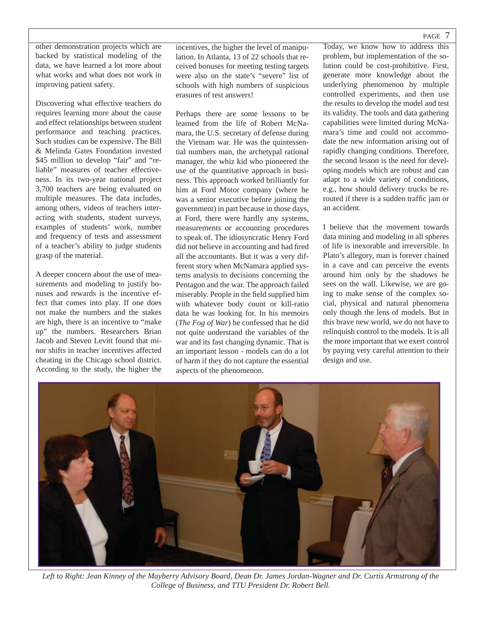other demonstration projects which are backed by statistical modeling of the data, we have learned a lot more about what works and what does not work in improving patient safety.

Discovering what effective teachers do requires learning more about the cause and effect relationships between student performance and teaching practices. Such studies can be expensive. The Bill & Melinda Gates Foundation invested \$45 million to develop "fair" and "reliable" measures of teacher effectiveness. In its two-year national project 3,700 teachers are being evaluated on multiple measures. The data includes, among others, videos of teachers interacting with students, student surveys, examples of students' work, number and frequency of tests and assessment of a teacher's ability to judge students grasp of the material.

A deeper concern about the use of measurements and modeling to justify bonuses and rewards is the incentive effect that comes into play. If one does not make the numbers and the stakes are high, there is an incentive to "make up" the numbers. Researchers Brian Jacob and Steven Levitt found that minor shifts in teacher incentives affected cheating in the Chicago school district. According to the study, the higher the incentives, the higher the level of manipulation. In Atlanta, 13 of 22 schools that received bonuses for meeting testing targets were also on the state's "severe" list of schools with high numbers of suspicious erasures of test answers!

Perhaps there are some lessons to be learned from the life of Robert McNamara, the U.S. secretary of defense during the Vietnam war. He was the quintessential numbers man, the archetypal rational manager, the whiz kid who pioneered the use of the quantitative approach in business. This approach worked brilliantly for him at Ford Motor company (where he was a senior executive before joining the government) in part because in those days, at Ford, there were hardly any systems, measurements or accounting procedures to speak of. The idiosyncratic Henry Ford did not believe in accounting and had fired all the accountants. But it was a very different story when McNamara applied systems analysis to decisions concerning the Pentagon and the war. The approach failed miserably. People in the field supplied him with whatever body count or kill-ratio data he was looking for. In his memoirs (*The Fog of War*) he confessed that he did not quite understand the variables of the war and its fast changing dynamic. That is an important lesson - models can do a lot of harm if they do not capture the essential aspects of the phenomenon.

Today, we know how to address this problem, but implementation of the solution could be cost-prohibitive. First, generate more knowledge about the underlying phenomenon by multiple controlled experiments, and then use the results to develop the model and test its validity. The tools and data gathering capabilities were limited during McNamara's time and could not accommodate the new information arising out of rapidly changing conditions. Therefore, the second lesson is the need for developing models which are robust and can adapt to a wide variety of conditions, e.g., how should delivery trucks be rerouted if there is a sudden traffic jam or an accident.

I believe that the movement towards data mining and modeling in all spheres of life is inexorable and irreversible. In Plato's allegory, man is forever chained in a cave and can perceive the events around him only by the shadows he sees on the wall. Likewise, we are going to make sense of the complex social, physical and natural phenomena only though the lens of models. But in this brave new world, we do not have to relinquish control to the models. It is all the more important that we exert control by paying very careful attention to their design and use.



*Left to Right: Jean Kinney of the Mayberry Advisory Board, Dean Dr. James Jordan-Wagner and Dr. Curtis Armstrong of the College of Business, and TTU President Dr. Robert Bell.*